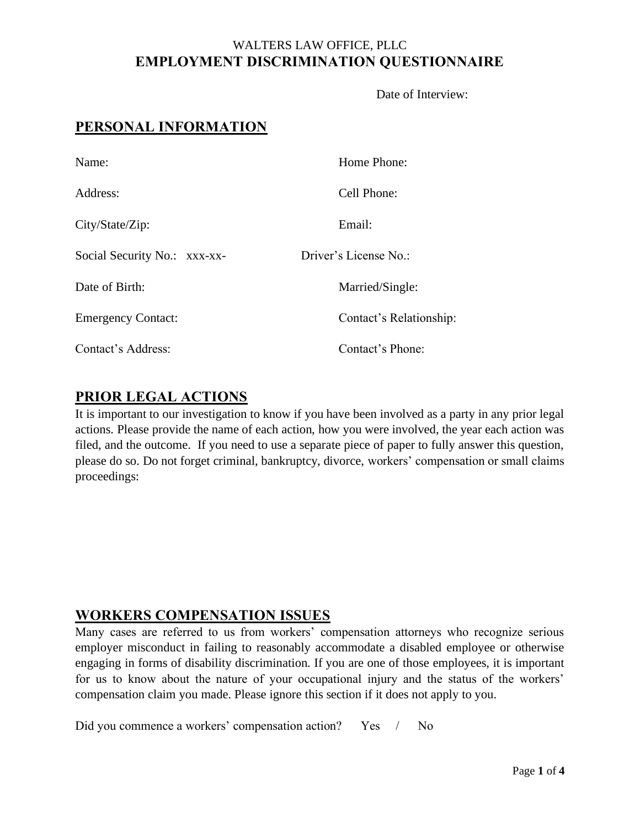### WALTERS LAW OFFICE, PLLC **EMPLOYMENT DISCRIMINATION QUESTIONNAIRE**

Date of Interview:

# **PERSONAL INFORMATION**

| Name:                        | Home Phone:             |
|------------------------------|-------------------------|
| Address:                     | Cell Phone:             |
| City/State/Zip:              | Email:                  |
| Social Security No.: xxx-xx- | Driver's License No.:   |
| Date of Birth:               | Married/Single:         |
| <b>Emergency Contact:</b>    | Contact's Relationship: |
| Contact's Address:           | Contact's Phone:        |

### **PRIOR LEGAL ACTIONS**

It is important to our investigation to know if you have been involved as a party in any prior legal actions. Please provide the name of each action, how you were involved, the year each action was filed, and the outcome. If you need to use a separate piece of paper to fully answer this question, please do so. Do not forget criminal, bankruptcy, divorce, workers' compensation or small claims proceedings:

### **WORKERS COMPENSATION ISSUES**

Many cases are referred to us from workers' compensation attorneys who recognize serious employer misconduct in failing to reasonably accommodate a disabled employee or otherwise engaging in forms of disability discrimination. If you are one of those employees, it is important for us to know about the nature of your occupational injury and the status of the workers' compensation claim you made. Please ignore this section if it does not apply to you.

Did you commence a workers' compensation action? Yes / No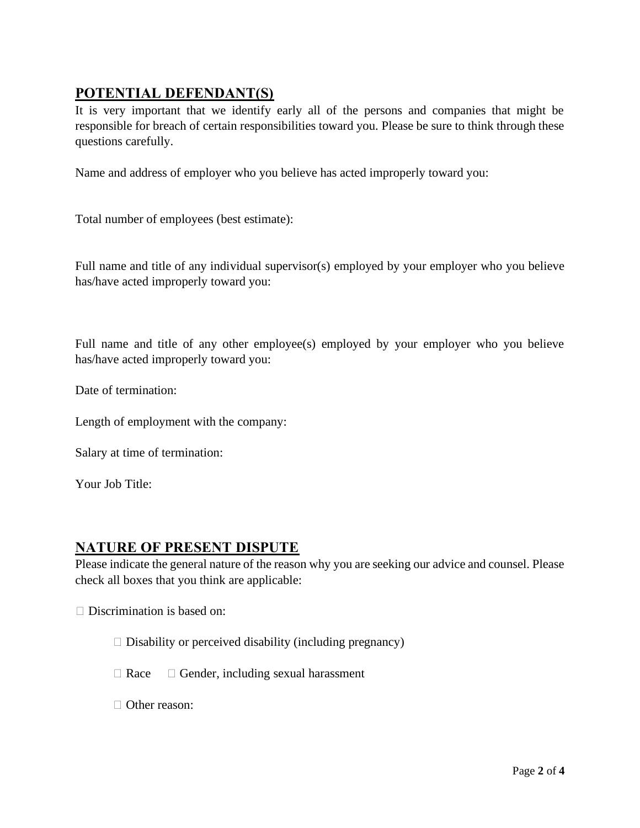# **POTENTIAL DEFENDANT(S)**

It is very important that we identify early all of the persons and companies that might be responsible for breach of certain responsibilities toward you. Please be sure to think through these questions carefully.

Name and address of employer who you believe has acted improperly toward you:

Total number of employees (best estimate):

Full name and title of any individual supervisor(s) employed by your employer who you believe has/have acted improperly toward you:

Full name and title of any other employee(s) employed by your employer who you believe has/have acted improperly toward you:

Date of termination:

Length of employment with the company:

Salary at time of termination:

Your Job Title:

# **NATURE OF PRESENT DISPUTE**

Please indicate the general nature of the reason why you are seeking our advice and counsel. Please check all boxes that you think are applicable:

 $\Box$  Discrimination is based on:

- $\Box$  Disability or perceived disability (including pregnancy)
- $\Box$  Race  $\Box$  Gender, including sexual harassment
- □ Other reason: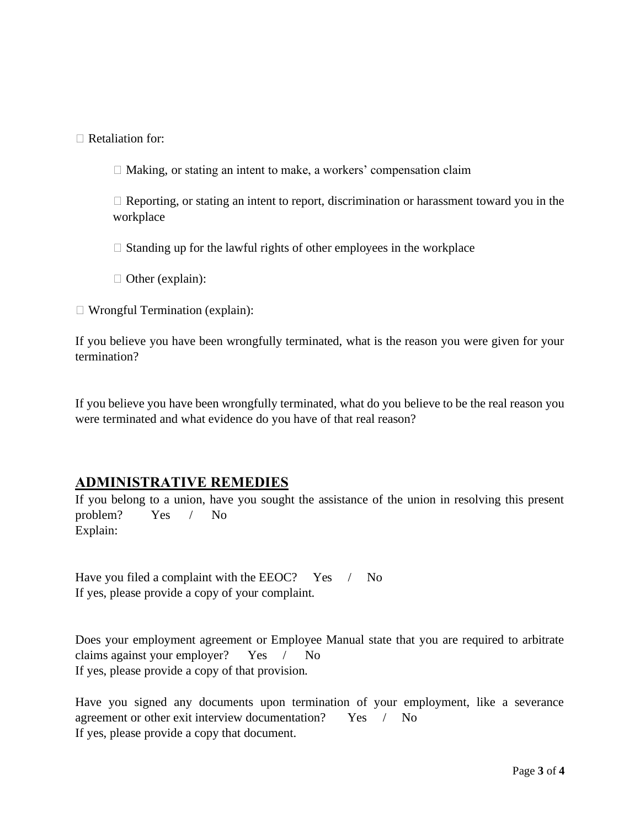$\Box$  Retaliation for:

 $\Box$  Making, or stating an intent to make, a workers' compensation claim

 $\Box$  Reporting, or stating an intent to report, discrimination or harassment toward you in the workplace

 $\Box$  Standing up for the lawful rights of other employees in the workplace

 $\Box$  Other (explain):

Wrongful Termination (explain):

If you believe you have been wrongfully terminated, what is the reason you were given for your termination?

If you believe you have been wrongfully terminated, what do you believe to be the real reason you were terminated and what evidence do you have of that real reason?

### **ADMINISTRATIVE REMEDIES**

If you belong to a union, have you sought the assistance of the union in resolving this present problem? Yes / No Explain:

Have you filed a complaint with the EEOC? Yes / No If yes, please provide a copy of your complaint.

Does your employment agreement or Employee Manual state that you are required to arbitrate claims against your employer? Yes / No If yes, please provide a copy of that provision.

Have you signed any documents upon termination of your employment, like a severance agreement or other exit interview documentation? Yes / No If yes, please provide a copy that document.